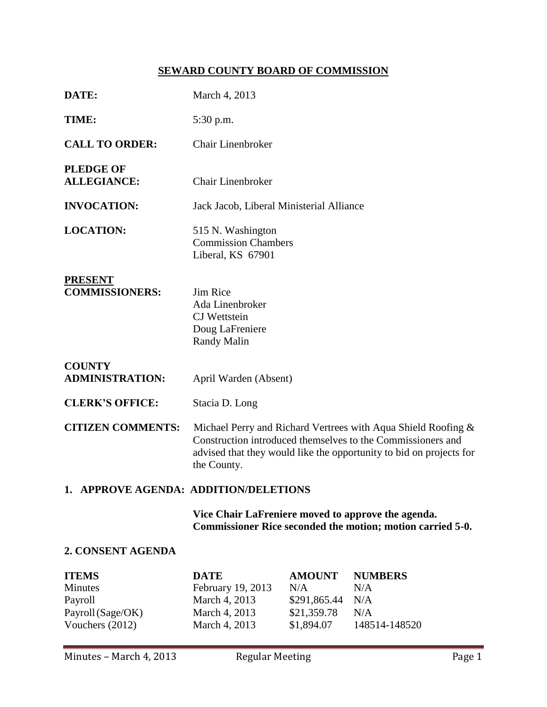# **SEWARD COUNTY BOARD OF COMMISSION**

| DATE:                                                                      | March 4, 2013                                                                                                                                                                                                      |                                                                   |                                                      |  |  |  |
|----------------------------------------------------------------------------|--------------------------------------------------------------------------------------------------------------------------------------------------------------------------------------------------------------------|-------------------------------------------------------------------|------------------------------------------------------|--|--|--|
| TIME:                                                                      | 5:30 p.m.                                                                                                                                                                                                          |                                                                   |                                                      |  |  |  |
| <b>CALL TO ORDER:</b>                                                      | <b>Chair Linenbroker</b>                                                                                                                                                                                           |                                                                   |                                                      |  |  |  |
| <b>PLEDGE OF</b><br><b>ALLEGIANCE:</b>                                     | <b>Chair Linenbroker</b>                                                                                                                                                                                           |                                                                   |                                                      |  |  |  |
| <b>INVOCATION:</b>                                                         | Jack Jacob, Liberal Ministerial Alliance                                                                                                                                                                           |                                                                   |                                                      |  |  |  |
| <b>LOCATION:</b>                                                           | 515 N. Washington<br><b>Commission Chambers</b><br>Liberal, KS 67901                                                                                                                                               |                                                                   |                                                      |  |  |  |
| <b>PRESENT</b><br><b>COMMISSIONERS:</b>                                    | Jim Rice<br>Ada Linenbroker<br><b>CJ</b> Wettstein<br>Doug LaFreniere<br>Randy Malin                                                                                                                               |                                                                   |                                                      |  |  |  |
| <b>COUNTY</b><br><b>ADMINISTRATION:</b>                                    | April Warden (Absent)                                                                                                                                                                                              |                                                                   |                                                      |  |  |  |
| <b>CLERK'S OFFICE:</b>                                                     | Stacia D. Long                                                                                                                                                                                                     |                                                                   |                                                      |  |  |  |
| <b>CITIZEN COMMENTS:</b>                                                   | Michael Perry and Richard Vertrees with Aqua Shield Roofing &<br>Construction introduced themselves to the Commissioners and<br>advised that they would like the opportunity to bid on projects for<br>the County. |                                                                   |                                                      |  |  |  |
| 1. APPROVE AGENDA: ADDITION/DELETIONS                                      |                                                                                                                                                                                                                    |                                                                   |                                                      |  |  |  |
|                                                                            | Vice Chair LaFreniere moved to approve the agenda.<br>Commissioner Rice seconded the motion; motion carried 5-0.                                                                                                   |                                                                   |                                                      |  |  |  |
| 2. CONSENT AGENDA                                                          |                                                                                                                                                                                                                    |                                                                   |                                                      |  |  |  |
| <b>ITEMS</b><br>Minutes<br>Payroll<br>Payroll (Sage/OK)<br>Vouchers (2012) | <b>DATE</b><br>February 19, 2013<br>March 4, 2013<br>March 4, 2013<br>March 4, 2013                                                                                                                                | <b>AMOUNT</b><br>N/A<br>\$291,865.44<br>\$21,359.78<br>\$1,894.07 | <b>NUMBERS</b><br>N/A<br>N/A<br>N/A<br>148514-148520 |  |  |  |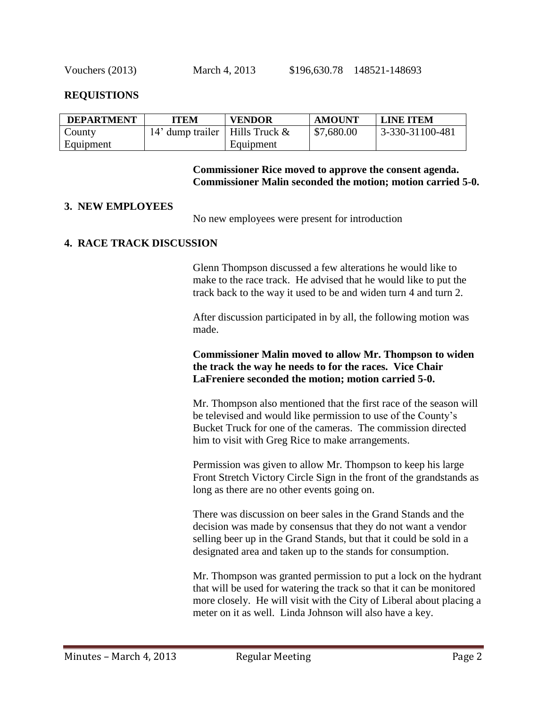#### **REQUISTIONS**

| <b>DEPARTMENT</b> | ITEM                                | <b>VENDOR</b> | <b>AMOUNT</b> | <b>LINE ITEM</b> |
|-------------------|-------------------------------------|---------------|---------------|------------------|
| County            | 14' dump trailer   Hills Truck $\&$ |               | \$7,680.00    | 3-330-31100-481  |
| Equipment         |                                     | Equipment     |               |                  |

#### **Commissioner Rice moved to approve the consent agenda. Commissioner Malin seconded the motion; motion carried 5-0.**

#### **3. NEW EMPLOYEES**

No new employees were present for introduction

#### **4. RACE TRACK DISCUSSION**

Glenn Thompson discussed a few alterations he would like to make to the race track. He advised that he would like to put the track back to the way it used to be and widen turn 4 and turn 2.

After discussion participated in by all, the following motion was made.

### **Commissioner Malin moved to allow Mr. Thompson to widen the track the way he needs to for the races. Vice Chair LaFreniere seconded the motion; motion carried 5-0.**

Mr. Thompson also mentioned that the first race of the season will be televised and would like permission to use of the County's Bucket Truck for one of the cameras. The commission directed him to visit with Greg Rice to make arrangements.

Permission was given to allow Mr. Thompson to keep his large Front Stretch Victory Circle Sign in the front of the grandstands as long as there are no other events going on.

There was discussion on beer sales in the Grand Stands and the decision was made by consensus that they do not want a vendor selling beer up in the Grand Stands, but that it could be sold in a designated area and taken up to the stands for consumption.

Mr. Thompson was granted permission to put a lock on the hydrant that will be used for watering the track so that it can be monitored more closely. He will visit with the City of Liberal about placing a meter on it as well. Linda Johnson will also have a key.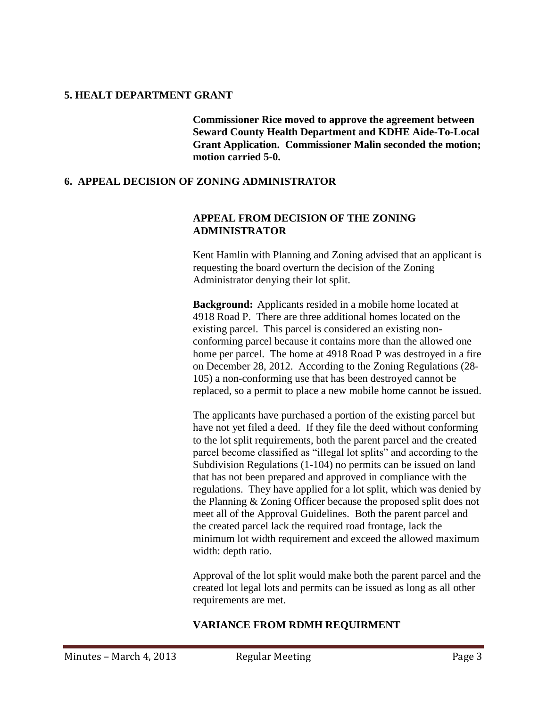### **5. HEALT DEPARTMENT GRANT**

**Commissioner Rice moved to approve the agreement between Seward County Health Department and KDHE Aide-To-Local Grant Application. Commissioner Malin seconded the motion; motion carried 5-0.**

# **6. APPEAL DECISION OF ZONING ADMINISTRATOR**

# **APPEAL FROM DECISION OF THE ZONING ADMINISTRATOR**

Kent Hamlin with Planning and Zoning advised that an applicant is requesting the board overturn the decision of the Zoning Administrator denying their lot split.

**Background:** Applicants resided in a mobile home located at 4918 Road P. There are three additional homes located on the existing parcel. This parcel is considered an existing nonconforming parcel because it contains more than the allowed one home per parcel. The home at 4918 Road P was destroyed in a fire on December 28, 2012. According to the Zoning Regulations (28- 105) a non-conforming use that has been destroyed cannot be replaced, so a permit to place a new mobile home cannot be issued.

The applicants have purchased a portion of the existing parcel but have not yet filed a deed. If they file the deed without conforming to the lot split requirements, both the parent parcel and the created parcel become classified as "illegal lot splits" and according to the Subdivision Regulations (1-104) no permits can be issued on land that has not been prepared and approved in compliance with the regulations. They have applied for a lot split, which was denied by the Planning & Zoning Officer because the proposed split does not meet all of the Approval Guidelines. Both the parent parcel and the created parcel lack the required road frontage, lack the minimum lot width requirement and exceed the allowed maximum width: depth ratio.

Approval of the lot split would make both the parent parcel and the created lot legal lots and permits can be issued as long as all other requirements are met.

# **VARIANCE FROM RDMH REQUIRMENT**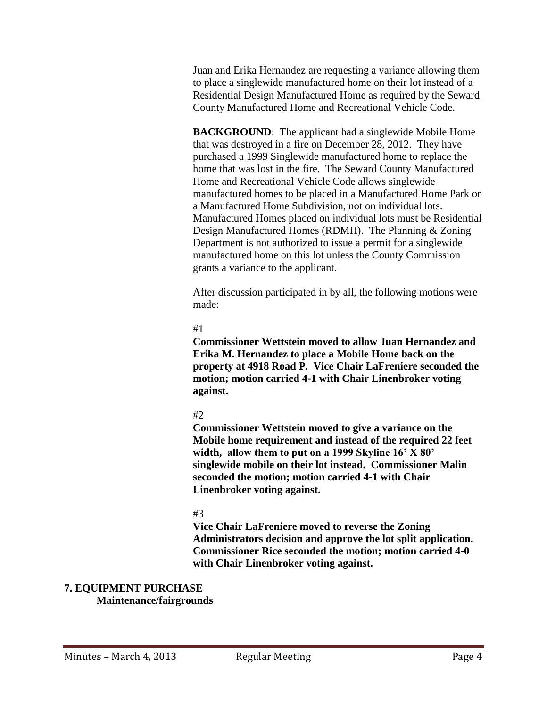Juan and Erika Hernandez are requesting a variance allowing them to place a singlewide manufactured home on their lot instead of a Residential Design Manufactured Home as required by the Seward County Manufactured Home and Recreational Vehicle Code.

**BACKGROUND:** The applicant had a singlewide Mobile Home that was destroyed in a fire on December 28, 2012. They have purchased a 1999 Singlewide manufactured home to replace the home that was lost in the fire. The Seward County Manufactured Home and Recreational Vehicle Code allows singlewide manufactured homes to be placed in a Manufactured Home Park or a Manufactured Home Subdivision, not on individual lots. Manufactured Homes placed on individual lots must be Residential Design Manufactured Homes (RDMH). The Planning & Zoning Department is not authorized to issue a permit for a singlewide manufactured home on this lot unless the County Commission grants a variance to the applicant.

After discussion participated in by all, the following motions were made:

## #1

**Commissioner Wettstein moved to allow Juan Hernandez and Erika M. Hernandez to place a Mobile Home back on the property at 4918 Road P. Vice Chair LaFreniere seconded the motion; motion carried 4-1 with Chair Linenbroker voting against.**

# #2

**Commissioner Wettstein moved to give a variance on the Mobile home requirement and instead of the required 22 feet width, allow them to put on a 1999 Skyline 16' X 80' singlewide mobile on their lot instead. Commissioner Malin seconded the motion; motion carried 4-1 with Chair Linenbroker voting against.**

# #3

**Vice Chair LaFreniere moved to reverse the Zoning Administrators decision and approve the lot split application. Commissioner Rice seconded the motion; motion carried 4-0 with Chair Linenbroker voting against.**

# **7. EQUIPMENT PURCHASE**

# **Maintenance/fairgrounds**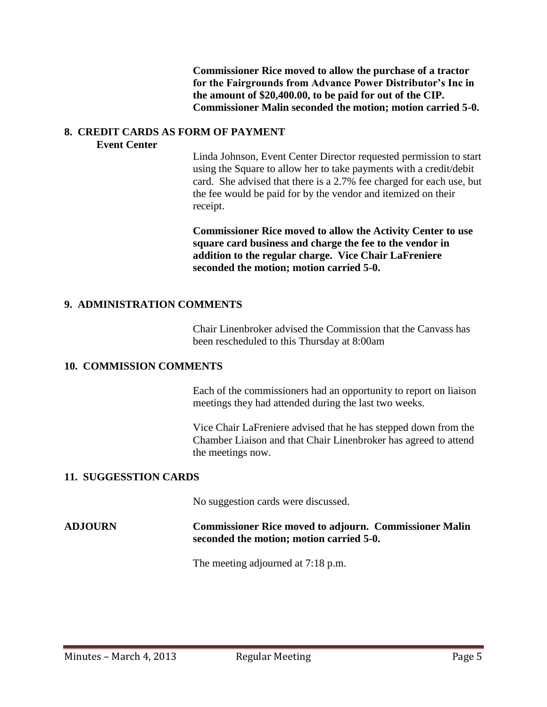**Commissioner Rice moved to allow the purchase of a tractor for the Fairgrounds from Advance Power Distributor's Inc in the amount of \$20,400.00, to be paid for out of the CIP. Commissioner Malin seconded the motion; motion carried 5-0.**

#### **8. CREDIT CARDS AS FORM OF PAYMENT Event Center**

Linda Johnson, Event Center Director requested permission to start using the Square to allow her to take payments with a credit/debit card. She advised that there is a 2.7% fee charged for each use, but the fee would be paid for by the vendor and itemized on their receipt.

**Commissioner Rice moved to allow the Activity Center to use square card business and charge the fee to the vendor in addition to the regular charge. Vice Chair LaFreniere seconded the motion; motion carried 5-0.**

## **9. ADMINISTRATION COMMENTS**

Chair Linenbroker advised the Commission that the Canvass has been rescheduled to this Thursday at 8:00am

#### **10. COMMISSION COMMENTS**

Each of the commissioners had an opportunity to report on liaison meetings they had attended during the last two weeks.

Vice Chair LaFreniere advised that he has stepped down from the Chamber Liaison and that Chair Linenbroker has agreed to attend the meetings now.

## **11. SUGGESSTION CARDS**

No suggestion cards were discussed.

## **ADJOURN Commissioner Rice moved to adjourn. Commissioner Malin seconded the motion; motion carried 5-0.**

The meeting adjourned at 7:18 p.m.